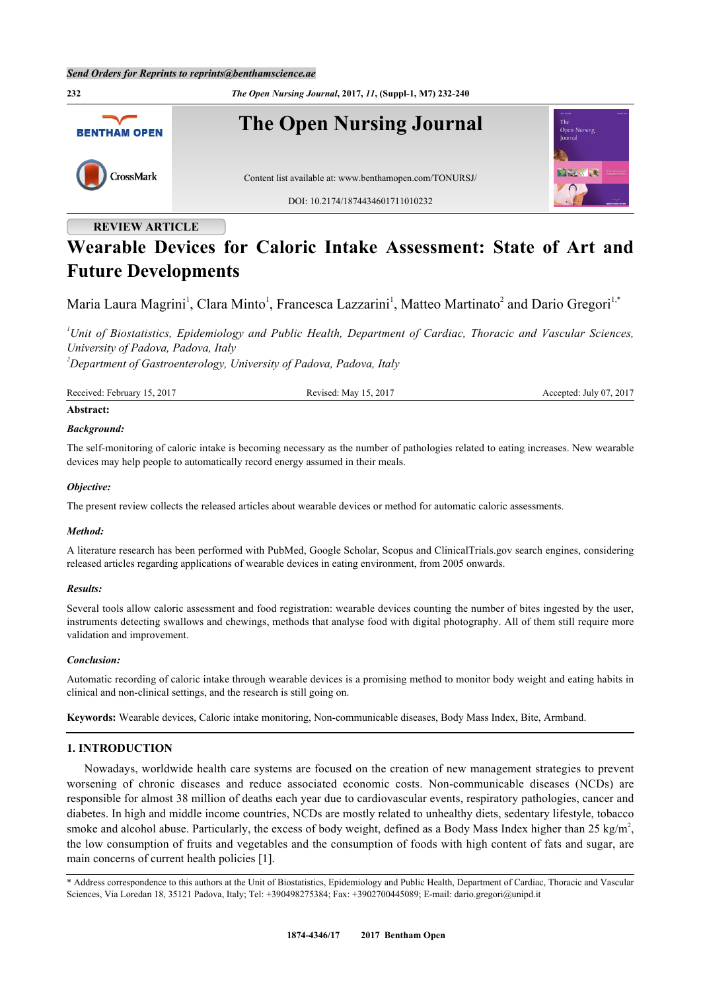

# **REVIEW ARTICLE**

# **Wearable Devices for Caloric Intake Assessment: State of Art and Future Developments**

Maria Laura Magrini<sup>[1](#page-0-0)</sup>, Clara Minto<sup>1</sup>, Francesca Lazzarini<sup>1</sup>, Matteo Martinato<sup>[2](#page-0-1)</sup> and Dario Gregori<sup>1[,\\*](#page-0-2)</sup>

<span id="page-0-0"></span>*<sup>1</sup>Unit of Biostatistics, Epidemiology and Public Health, Department of Cardiac, Thoracic and Vascular Sciences, University of Padova, Padova, Italy*

<span id="page-0-1"></span>*<sup>2</sup>Department of Gastroenterology, University of Padova, Padova, Italy*

| Received: February 15, 2017 | Revised: May 15, 2017 | Accepted: July 07, 2017 |
|-----------------------------|-----------------------|-------------------------|
|-----------------------------|-----------------------|-------------------------|

#### **Abstract:**

# *Background:*

The self-monitoring of caloric intake is becoming necessary as the number of pathologies related to eating increases. New wearable devices may help people to automatically record energy assumed in their meals.

#### *Objective:*

The present review collects the released articles about wearable devices or method for automatic caloric assessments.

#### *Method:*

A literature research has been performed with PubMed, Google Scholar, Scopus and ClinicalTrials.gov search engines, considering released articles regarding applications of wearable devices in eating environment, from 2005 onwards.

#### *Results:*

Several tools allow caloric assessment and food registration: wearable devices counting the number of bites ingested by the user, instruments detecting swallows and chewings, methods that analyse food with digital photography. All of them still require more validation and improvement.

#### *Conclusion:*

Automatic recording of caloric intake through wearable devices is a promising method to monitor body weight and eating habits in clinical and non-clinical settings, and the research is still going on.

**Keywords:** Wearable devices, Caloric intake monitoring, Non-communicable diseases, Body Mass Index, Bite, Armband.

# **1. INTRODUCTION**

Nowadays, worldwide health care systems are focused on the creation of new management strategies to prevent worsening of chronic diseases and reduce associated economic costs. Non-communicable diseases (NCDs) are responsible for almost 38 million of deaths each year due to cardiovascular events, respiratory pathologies, cancer and diabetes. In high and middle income countries, NCDs are mostly related to unhealthy diets, sedentary lifestyle, tobacco smoke and alcohol abuse. Particularly, the excess of body weight, defined as a Body Mass Index higher than 25 kg/m<sup>2</sup>, the low consumption of fruits and vegetables and the consumption of foods with high content of fats and sugar, are main concerns of current health policies [[1\]](#page-7-0).

<span id="page-0-2"></span><sup>\*</sup> Address correspondence to this authors at the Unit of Biostatistics, Epidemiology and Public Health, Department of Cardiac, Thoracic and Vascular Sciences, Via Loredan 18, 35121 Padova, Italy; Tel: +390498275384; Fax: +3902700445089; E-mail: [dario.gregori@unipd.it](mailto:dario.gregori@unipd.it)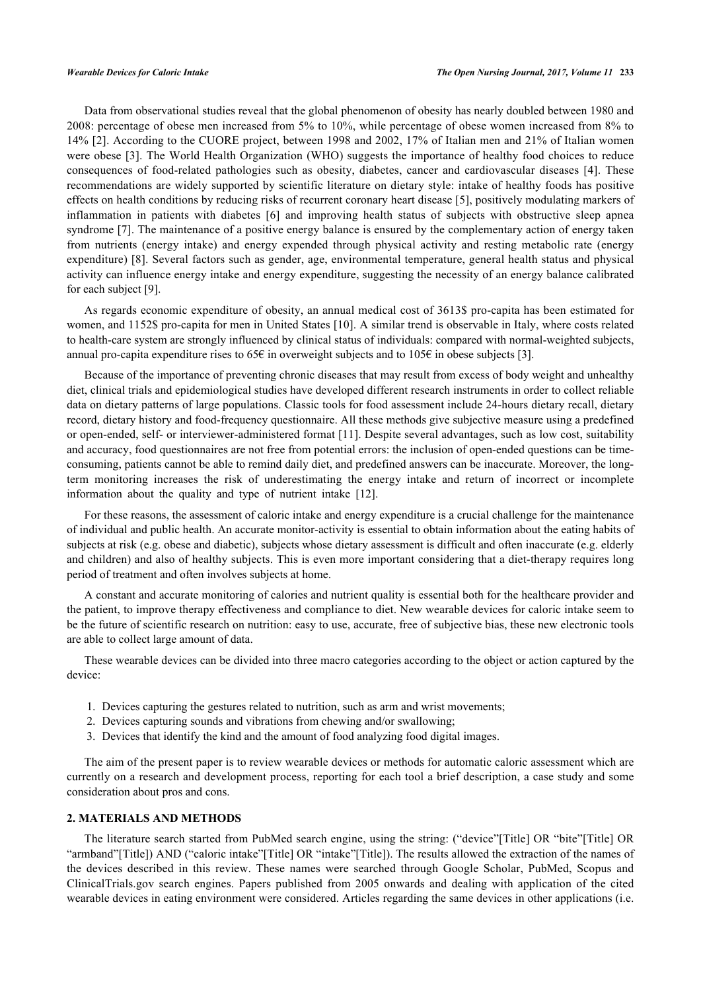Data from observational studies reveal that the global phenomenon of obesity has nearly doubled between 1980 and 2008: percentage of obese men increased from 5% to 10%, while percentage of obese women increased from 8% to 14% [[2\]](#page-7-1). According to the CUORE project, between 1998 and 2002, 17% of Italian men and 21% of Italian women were obese [[3](#page-7-2)]. The World Health Organization (WHO) suggests the importance of healthy food choices to reduce consequences of food-related pathologies such as obesity, diabetes, cancer and cardiovascular diseases [\[4](#page-7-3)]. These recommendations are widely supported by scientific literature on dietary style: intake of healthy foods has positive effects on health conditions by reducing risks of recurrent coronary heart disease [\[5](#page-7-4)], positively modulating markers of inflammation in patients with diabetes [\[6](#page-7-5)] and improving health status of subjects with obstructive sleep apnea syndrome [[7](#page-7-6)]. The maintenance of a positive energy balance is ensured by the complementary action of energy taken from nutrients (energy intake) and energy expended through physical activity and resting metabolic rate (energy expenditure) [[8](#page-7-7)]. Several factors such as gender, age, environmental temperature, general health status and physical activity can influence energy intake and energy expenditure, suggesting the necessity of an energy balance calibrated for each subject [[9\]](#page-7-8).

As regards economic expenditure of obesity, an annual medical cost of 3613\$ pro-capita has been estimated for women, and 1152\$ pro-capita for men in United States [[10\]](#page-7-9). A similar trend is observable in Italy, where costs related to health-care system are strongly influenced by clinical status of individuals: compared with normal-weighted subjects, annual pro-capita expenditure rises to 65 $\epsilon$  in overweight subjects and to 105 $\epsilon$  in obese subjects [\[3](#page-7-2)].

Because of the importance of preventing chronic diseases that may result from excess of body weight and unhealthy diet, clinical trials and epidemiological studies have developed different research instruments in order to collect reliable data on dietary patterns of large populations. Classic tools for food assessment include 24-hours dietary recall, dietary record, dietary history and food-frequency questionnaire. All these methods give subjective measure using a predefined or open-ended, self- or interviewer-administered format [[11\]](#page-7-10). Despite several advantages, such as low cost, suitability and accuracy, food questionnaires are not free from potential errors: the inclusion of open-ended questions can be timeconsuming, patients cannot be able to remind daily diet, and predefined answers can be inaccurate. Moreover, the longterm monitoring increases the risk of underestimating the energy intake and return of incorrect or incomplete information about the quality and type of nutrient intake[[12\]](#page-7-11).

For these reasons, the assessment of caloric intake and energy expenditure is a crucial challenge for the maintenance of individual and public health. An accurate monitor-activity is essential to obtain information about the eating habits of subjects at risk (e.g. obese and diabetic), subjects whose dietary assessment is difficult and often inaccurate (e.g. elderly and children) and also of healthy subjects. This is even more important considering that a diet-therapy requires long period of treatment and often involves subjects at home.

A constant and accurate monitoring of calories and nutrient quality is essential both for the healthcare provider and the patient, to improve therapy effectiveness and compliance to diet. New wearable devices for caloric intake seem to be the future of scientific research on nutrition: easy to use, accurate, free of subjective bias, these new electronic tools are able to collect large amount of data.

These wearable devices can be divided into three macro categories according to the object or action captured by the device:

- 1. Devices capturing the gestures related to nutrition, such as arm and wrist movements;
- 2. Devices capturing sounds and vibrations from chewing and/or swallowing;
- 3. Devices that identify the kind and the amount of food analyzing food digital images.

The aim of the present paper is to review wearable devices or methods for automatic caloric assessment which are currently on a research and development process, reporting for each tool a brief description, a case study and some consideration about pros and cons.

#### **2. MATERIALS AND METHODS**

The literature search started from PubMed search engine, using the string: ("device"[Title] OR "bite"[Title] OR "armband"[Title]) AND ("caloric intake"[Title] OR "intake"[Title]). The results allowed the extraction of the names of the devices described in this review. These names were searched through Google Scholar, PubMed, Scopus and ClinicalTrials.gov search engines. Papers published from 2005 onwards and dealing with application of the cited wearable devices in eating environment were considered. Articles regarding the same devices in other applications (i.e.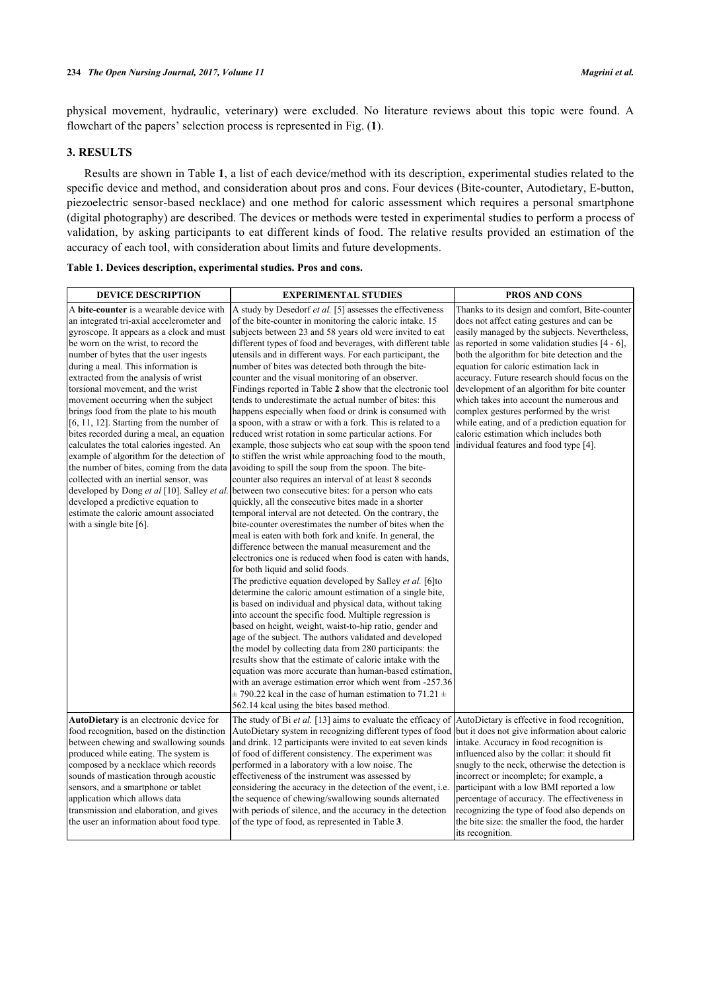physical movement, hydraulic, veterinary) were excluded. No literature reviews about this topic were found. A flowchart of the papers' selection process is represented in Fig. (**[1](#page-4-0)**).

# **3. RESULTS**

Results are shown in Table **[1](#page-2-0)**, a list of each device/method with its description, experimental studies related to the specific device and method, and consideration about pros and cons. Four devices (Bite-counter, Autodietary, E-button, piezoelectric sensor-based necklace) and one method for caloric assessment which requires a personal smartphone (digital photography) are described. The devices or methods were tested in experimental studies to perform a process of validation, by asking participants to eat different kinds of food. The relative results provided an estimation of the accuracy of each tool, with consideration about limits and future developments.

<span id="page-2-0"></span>

| <b>DEVICE DESCRIPTION</b>                                                                                                                                                                                                                                                                                                                                                                                                                                                                                                                                                                                                                                                                                                                                                                                                                                       | <b>EXPERIMENTAL STUDIES</b>                                                                                                                                                                                                                                                                                                                                                                                                                                                                                                                                                                                                                                                                                                                                                                                                                                                                                                                                                                                                                                                                                                                                                                                                                                                                                                                                                                                                                                                                                                                                                                                                                                                                                                                                                                                                                                                                                                                                                                       | <b>PROS AND CONS</b>                                                                                                                                                                                                                                                                                                                                                                                                                                                                                                                                                                                                           |
|-----------------------------------------------------------------------------------------------------------------------------------------------------------------------------------------------------------------------------------------------------------------------------------------------------------------------------------------------------------------------------------------------------------------------------------------------------------------------------------------------------------------------------------------------------------------------------------------------------------------------------------------------------------------------------------------------------------------------------------------------------------------------------------------------------------------------------------------------------------------|---------------------------------------------------------------------------------------------------------------------------------------------------------------------------------------------------------------------------------------------------------------------------------------------------------------------------------------------------------------------------------------------------------------------------------------------------------------------------------------------------------------------------------------------------------------------------------------------------------------------------------------------------------------------------------------------------------------------------------------------------------------------------------------------------------------------------------------------------------------------------------------------------------------------------------------------------------------------------------------------------------------------------------------------------------------------------------------------------------------------------------------------------------------------------------------------------------------------------------------------------------------------------------------------------------------------------------------------------------------------------------------------------------------------------------------------------------------------------------------------------------------------------------------------------------------------------------------------------------------------------------------------------------------------------------------------------------------------------------------------------------------------------------------------------------------------------------------------------------------------------------------------------------------------------------------------------------------------------------------------------|--------------------------------------------------------------------------------------------------------------------------------------------------------------------------------------------------------------------------------------------------------------------------------------------------------------------------------------------------------------------------------------------------------------------------------------------------------------------------------------------------------------------------------------------------------------------------------------------------------------------------------|
| A bite-counter is a wearable device with<br>an integrated tri-axial accelerometer and<br>gyroscope. It appears as a clock and must<br>be worn on the wrist, to record the<br>number of bytes that the user ingests<br>during a meal. This information is<br>extracted from the analysis of wrist<br>torsional movement, and the wrist<br>movement occurring when the subject<br>brings food from the plate to his mouth<br>$[6, 11, 12]$ . Starting from the number of<br>bites recorded during a meal, an equation<br>calculates the total calories ingested. An<br>example of algorithm for the detection of<br>the number of bites, coming from the data<br>collected with an inertial sensor, was<br>developed by Dong et al [10]. Salley et al.<br>developed a predictive equation to<br>estimate the caloric amount associated<br>with a single bite [6]. | A study by Desedorf et al. [5] assesses the effectiveness<br>of the bite-counter in monitoring the caloric intake. 15<br>subjects between 23 and 58 years old were invited to eat<br>different types of food and beverages, with different table<br>utensils and in different ways. For each participant, the<br>number of bites was detected both through the bite-<br>counter and the visual monitoring of an observer.<br>Findings reported in Table 2 show that the electronic tool<br>tends to underestimate the actual number of bites: this<br>happens especially when food or drink is consumed with<br>a spoon, with a straw or with a fork. This is related to a<br>reduced wrist rotation in some particular actions. For<br>example, those subjects who eat soup with the spoon tend<br>to stiffen the wrist while approaching food to the mouth,<br>avoiding to spill the soup from the spoon. The bite-<br>counter also requires an interval of at least 8 seconds<br>between two consecutive bites: for a person who eats<br>quickly, all the consecutive bites made in a shorter<br>temporal interval are not detected. On the contrary, the<br>bite-counter overestimates the number of bites when the<br>meal is eaten with both fork and knife. In general, the<br>difference between the manual measurement and the<br>electronics one is reduced when food is eaten with hands.<br>for both liquid and solid foods.<br>The predictive equation developed by Salley et al. [6] to<br>determine the caloric amount estimation of a single bite,<br>is based on individual and physical data, without taking<br>into account the specific food. Multiple regression is<br>based on height, weight, waist-to-hip ratio, gender and<br>age of the subject. The authors validated and developed<br>the model by collecting data from 280 participants: the<br>results show that the estimate of caloric intake with the<br>equation was more accurate than human-based estimation. | Thanks to its design and comfort, Bite-counter<br>does not affect eating gestures and can be<br>easily managed by the subjects. Nevertheless,<br>as reported in some validation studies $[4 - 6]$ ,<br>both the algorithm for bite detection and the<br>equation for caloric estimation lack in<br>accuracy. Future research should focus on the<br>development of an algorithm for bite counter<br>which takes into account the numerous and<br>complex gestures performed by the wrist<br>while eating, and of a prediction equation for<br>caloric estimation which includes both<br>individual features and food type [4]. |
|                                                                                                                                                                                                                                                                                                                                                                                                                                                                                                                                                                                                                                                                                                                                                                                                                                                                 | with an average estimation error which went from -257.36<br>$\pm$ 790.22 kcal in the case of human estimation to 71.21 $\pm$<br>562.14 kcal using the bites based method.                                                                                                                                                                                                                                                                                                                                                                                                                                                                                                                                                                                                                                                                                                                                                                                                                                                                                                                                                                                                                                                                                                                                                                                                                                                                                                                                                                                                                                                                                                                                                                                                                                                                                                                                                                                                                         |                                                                                                                                                                                                                                                                                                                                                                                                                                                                                                                                                                                                                                |
| AutoDietary is an electronic device for<br>food recognition, based on the distinction<br>between chewing and swallowing sounds<br>produced while eating. The system is<br>composed by a necklace which records<br>sounds of mastication through acoustic<br>sensors, and a smartphone or tablet<br>application which allows data<br>transmission and elaboration, and gives<br>the user an information about food type.                                                                                                                                                                                                                                                                                                                                                                                                                                         | The study of Bi et al. [13] aims to evaluate the efficacy of<br>AutoDietary system in recognizing different types of food but it does not give information about caloric<br>and drink. 12 participants were invited to eat seven kinds<br>of food of different consistency. The experiment was<br>performed in a laboratory with a low noise. The<br>effectiveness of the instrument was assessed by<br>considering the accuracy in the detection of the event, <i>i.e.</i><br>the sequence of chewing/swallowing sounds alternated<br>with periods of silence, and the accuracy in the detection<br>of the type of food, as represented in Table 3.                                                                                                                                                                                                                                                                                                                                                                                                                                                                                                                                                                                                                                                                                                                                                                                                                                                                                                                                                                                                                                                                                                                                                                                                                                                                                                                                              | AutoDietary is effective in food recognition,<br>intake. Accuracy in food recognition is<br>influenced also by the collar: it should fit<br>snugly to the neck, otherwise the detection is<br>incorrect or incomplete; for example, a<br>participant with a low BMI reported a low<br>percentage of accuracy. The effectiveness in<br>recognizing the type of food also depends on<br>the bite size: the smaller the food, the harder<br>its recognition.                                                                                                                                                                      |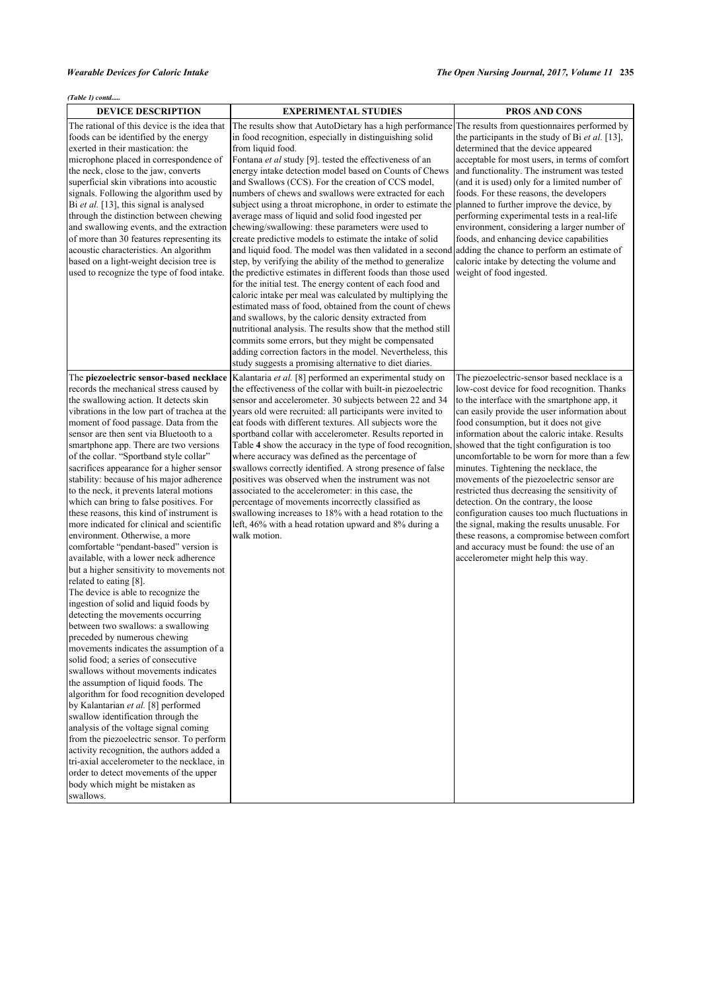| <b>DEVICE DESCRIPTION</b>                                                                                                                                                                                                                                                                                                                                                                                                                                                                                                                                                                                                                                                                                                                                                                                                                                                                                                                                                                                                                                                                                                                                                                                                                                                                                                                                                                                                                                                                                                                                                                         | <b>EXPERIMENTAL STUDIES</b>                                                                                                                                                                                                                                                                                                                                                                                                                                                                                                                                                                                                                                                                                                                                                                                                                                                                                                                                                                                                                                                                                                                                                                                                                                                                                                                                                                    | <b>PROS AND CONS</b>                                                                                                                                                                                                                                                                                                                                                                                                                                                                                                                                                                                                                                                                                                                                        |
|---------------------------------------------------------------------------------------------------------------------------------------------------------------------------------------------------------------------------------------------------------------------------------------------------------------------------------------------------------------------------------------------------------------------------------------------------------------------------------------------------------------------------------------------------------------------------------------------------------------------------------------------------------------------------------------------------------------------------------------------------------------------------------------------------------------------------------------------------------------------------------------------------------------------------------------------------------------------------------------------------------------------------------------------------------------------------------------------------------------------------------------------------------------------------------------------------------------------------------------------------------------------------------------------------------------------------------------------------------------------------------------------------------------------------------------------------------------------------------------------------------------------------------------------------------------------------------------------------|------------------------------------------------------------------------------------------------------------------------------------------------------------------------------------------------------------------------------------------------------------------------------------------------------------------------------------------------------------------------------------------------------------------------------------------------------------------------------------------------------------------------------------------------------------------------------------------------------------------------------------------------------------------------------------------------------------------------------------------------------------------------------------------------------------------------------------------------------------------------------------------------------------------------------------------------------------------------------------------------------------------------------------------------------------------------------------------------------------------------------------------------------------------------------------------------------------------------------------------------------------------------------------------------------------------------------------------------------------------------------------------------|-------------------------------------------------------------------------------------------------------------------------------------------------------------------------------------------------------------------------------------------------------------------------------------------------------------------------------------------------------------------------------------------------------------------------------------------------------------------------------------------------------------------------------------------------------------------------------------------------------------------------------------------------------------------------------------------------------------------------------------------------------------|
| The rational of this device is the idea that<br>foods can be identified by the energy<br>exerted in their mastication: the<br>microphone placed in correspondence of<br>the neck, close to the jaw, converts<br>superficial skin vibrations into acoustic<br>signals. Following the algorithm used by<br>Bi et al. [13], this signal is analysed<br>through the distinction between chewing<br>and swallowing events, and the extraction<br>of more than 30 features representing its<br>acoustic characteristics. An algorithm<br>based on a light-weight decision tree is<br>used to recognize the type of food intake.                                                                                                                                                                                                                                                                                                                                                                                                                                                                                                                                                                                                                                                                                                                                                                                                                                                                                                                                                                         | The results show that AutoDietary has a high performance<br>in food recognition, especially in distinguishing solid<br>from liquid food.<br>Fontana et al study [9]. tested the effectiveness of an<br>energy intake detection model based on Counts of Chews<br>and Swallows (CCS). For the creation of CCS model,<br>numbers of chews and swallows were extracted for each<br>subject using a throat microphone, in order to estimate the planned to further improve the device, by<br>average mass of liquid and solid food ingested per<br>chewing/swallowing: these parameters were used to<br>create predictive models to estimate the intake of solid<br>and liquid food. The model was then validated in a second adding the chance to perform an estimate of<br>step, by verifying the ability of the method to generalize<br>the predictive estimates in different foods than those used<br>for the initial test. The energy content of each food and<br>caloric intake per meal was calculated by multiplying the<br>estimated mass of food, obtained from the count of chews<br>and swallows, by the caloric density extracted from<br>nutritional analysis. The results show that the method still<br>commits some errors, but they might be compensated<br>adding correction factors in the model. Nevertheless, this<br>study suggests a promising alternative to diet diaries. | The results from questionnaires performed by<br>the participants in the study of Bi et al. [13],<br>determined that the device appeared<br>acceptable for most users, in terms of comfort<br>and functionality. The instrument was tested<br>(and it is used) only for a limited number of<br>foods. For these reasons, the developers<br>performing experimental tests in a real-life<br>environment, considering a larger number of<br>foods, and enhancing device capabilities<br>caloric intake by detecting the volume and<br>weight of food ingested.                                                                                                                                                                                                 |
| The piezoelectric sensor-based necklace<br>records the mechanical stress caused by<br>the swallowing action. It detects skin<br>vibrations in the low part of trachea at the<br>moment of food passage. Data from the<br>sensor are then sent via Bluetooth to a<br>smartphone app. There are two versions<br>of the collar. "Sportband style collar"<br>sacrifices appearance for a higher sensor<br>stability: because of his major adherence<br>to the neck, it prevents lateral motions<br>which can bring to false positives. For<br>these reasons, this kind of instrument is<br>more indicated for clinical and scientific<br>environment. Otherwise, a more<br>comfortable "pendant-based" version is<br>available, with a lower neck adherence<br>but a higher sensitivity to movements not<br>related to eating [8].<br>The device is able to recognize the<br>ingestion of solid and liquid foods by<br>detecting the movements occurring<br>lbetween two swallows: a swallowing<br>preceded by numerous chewing<br>movements indicates the assumption of a<br>solid food: a series of consecutive<br>swallows without movements indicates<br>the assumption of liquid foods. The<br>algorithm for food recognition developed<br>by Kalantarian et al. [8] performed<br>swallow identification through the<br>analysis of the voltage signal coming<br>from the piezoelectric sensor. To perform<br>activity recognition, the authors added a<br>tri-axial accelerometer to the necklace, in<br>order to detect movements of the upper<br>body which might be mistaken as<br>swallows. | Kalantaria et al. [8] performed an experimental study on<br>the effectiveness of the collar with built-in piezoelectric<br>sensor and accelerometer. 30 subjects between 22 and 34<br>years old were recruited: all participants were invited to<br>eat foods with different textures. All subjects wore the<br>sportband collar with accelerometer. Results reported in<br>Table 4 show the accuracy in the type of food recognition, showed that the tight configuration is too<br>where accuracy was defined as the percentage of<br>swallows correctly identified. A strong presence of false<br>positives was observed when the instrument was not<br>associated to the accelerometer: in this case, the<br>percentage of movements incorrectly classified as<br>swallowing increases to 18% with a head rotation to the<br>left, 46% with a head rotation upward and 8% during a<br>walk motion.                                                                                                                                                                                                                                                                                                                                                                                                                                                                                         | The piezoelectric-sensor based necklace is a<br>low-cost device for food recognition. Thanks<br>to the interface with the smartphone app, it<br>can easily provide the user information about<br>food consumption, but it does not give<br>information about the caloric intake. Results<br>uncomfortable to be worn for more than a few<br>minutes. Tightening the necklace, the<br>movements of the piezoelectric sensor are<br>restricted thus decreasing the sensitivity of<br>detection. On the contrary, the loose<br>configuration causes too much fluctuations in<br>the signal, making the results unusable. For<br>these reasons, a compromise between comfort<br>and accuracy must be found: the use of an<br>accelerometer might help this way. |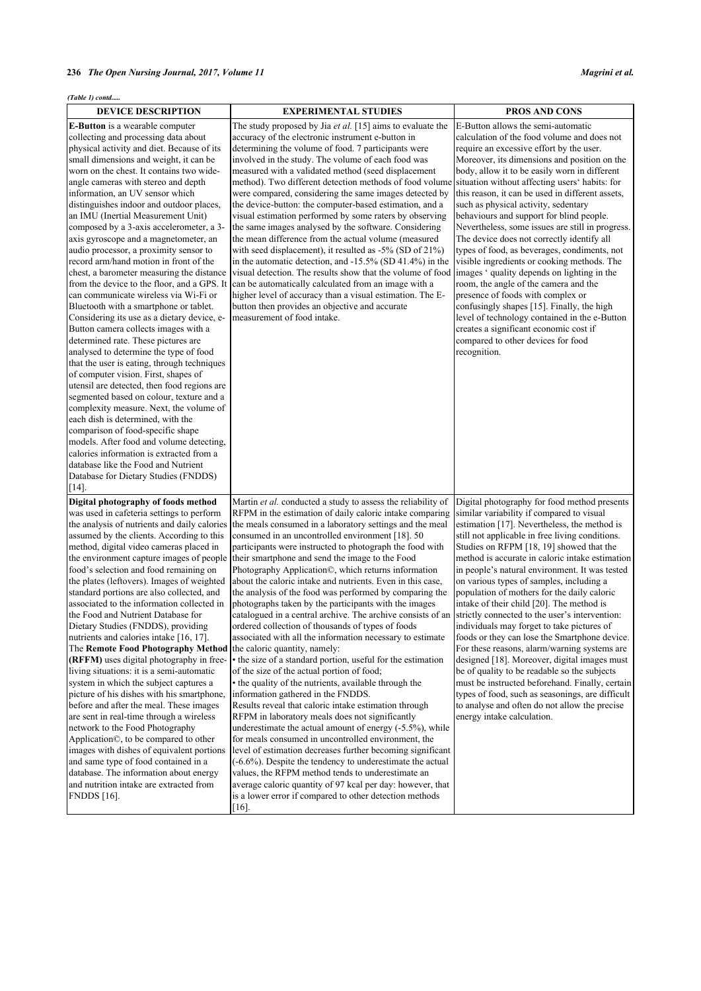<span id="page-4-0"></span>

| (Table 1) contd                                                                                                                                                                                                                                                                                                                                                                                                                                                                                                                                                                                                                                                                                                                                                                                                                                                                                                                                                                                                                                                                                                                                                                                                                                                                                                                                                                              |                                                                                                                                                                                                                                                                                                                                                                                                                                                                                                                                                                                                                                                                                                                                                                                                                                                                                                                                                                                                                                                                                                                                                                                                                                                                                                                                                                                                                                                                                                                                                                                                                                       |                                                                                                                                                                                                                                                                                                                                                                                                                                                                                                                                                                                                                                                                                                                                                                                                                                                                                                                            |
|----------------------------------------------------------------------------------------------------------------------------------------------------------------------------------------------------------------------------------------------------------------------------------------------------------------------------------------------------------------------------------------------------------------------------------------------------------------------------------------------------------------------------------------------------------------------------------------------------------------------------------------------------------------------------------------------------------------------------------------------------------------------------------------------------------------------------------------------------------------------------------------------------------------------------------------------------------------------------------------------------------------------------------------------------------------------------------------------------------------------------------------------------------------------------------------------------------------------------------------------------------------------------------------------------------------------------------------------------------------------------------------------|---------------------------------------------------------------------------------------------------------------------------------------------------------------------------------------------------------------------------------------------------------------------------------------------------------------------------------------------------------------------------------------------------------------------------------------------------------------------------------------------------------------------------------------------------------------------------------------------------------------------------------------------------------------------------------------------------------------------------------------------------------------------------------------------------------------------------------------------------------------------------------------------------------------------------------------------------------------------------------------------------------------------------------------------------------------------------------------------------------------------------------------------------------------------------------------------------------------------------------------------------------------------------------------------------------------------------------------------------------------------------------------------------------------------------------------------------------------------------------------------------------------------------------------------------------------------------------------------------------------------------------------|----------------------------------------------------------------------------------------------------------------------------------------------------------------------------------------------------------------------------------------------------------------------------------------------------------------------------------------------------------------------------------------------------------------------------------------------------------------------------------------------------------------------------------------------------------------------------------------------------------------------------------------------------------------------------------------------------------------------------------------------------------------------------------------------------------------------------------------------------------------------------------------------------------------------------|
| <b>DEVICE DESCRIPTION</b>                                                                                                                                                                                                                                                                                                                                                                                                                                                                                                                                                                                                                                                                                                                                                                                                                                                                                                                                                                                                                                                                                                                                                                                                                                                                                                                                                                    | <b>EXPERIMENTAL STUDIES</b>                                                                                                                                                                                                                                                                                                                                                                                                                                                                                                                                                                                                                                                                                                                                                                                                                                                                                                                                                                                                                                                                                                                                                                                                                                                                                                                                                                                                                                                                                                                                                                                                           | <b>PROS AND CONS</b>                                                                                                                                                                                                                                                                                                                                                                                                                                                                                                                                                                                                                                                                                                                                                                                                                                                                                                       |
| <b>E-Button</b> is a wearable computer<br>collecting and processing data about<br>physical activity and diet. Because of its<br>small dimensions and weight, it can be<br>worn on the chest. It contains two wide-<br>angle cameras with stereo and depth<br>information, an UV sensor which<br>distinguishes indoor and outdoor places,<br>an IMU (Inertial Measurement Unit)<br>composed by a 3-axis accelerometer, a 3-<br>axis gyroscope and a magnetometer, an<br>audio processor, a proximity sensor to<br>record arm/hand motion in front of the<br>chest, a barometer measuring the distance<br>from the device to the floor, and a GPS. It<br>can communicate wireless via Wi-Fi or<br>Bluetooth with a smartphone or tablet.<br>Considering its use as a dietary device, e-<br>Button camera collects images with a<br>determined rate. These pictures are<br>analysed to determine the type of food<br>that the user is eating, through techniques<br>of computer vision. First, shapes of<br>utensil are detected, then food regions are<br>segmented based on colour, texture and a<br>complexity measure. Next, the volume of<br>each dish is determined, with the<br>comparison of food-specific shape<br>models. After food and volume detecting,<br>calories information is extracted from a<br>database like the Food and Nutrient<br>Database for Dietary Studies (FNDDS) | The study proposed by Jia et al. [15] aims to evaluate the<br>accuracy of the electronic instrument e-button in<br>determining the volume of food. 7 participants were<br>involved in the study. The volume of each food was<br>measured with a validated method (seed displacement<br>method). Two different detection methods of food volume<br>were compared, considering the same images detected by<br>the device-button: the computer-based estimation, and a<br>visual estimation performed by some raters by observing<br>the same images analysed by the software. Considering<br>the mean difference from the actual volume (measured<br>with seed displacement), it resulted as $-5\%$ (SD of 21%)<br>in the automatic detection, and -15.5% (SD 41.4%) in the<br>visual detection. The results show that the volume of food limages 'quality depends on lighting in the<br>can be automatically calculated from an image with a<br>higher level of accuracy than a visual estimation. The E-<br>button then provides an objective and accurate<br>measurement of food intake.                                                                                                                                                                                                                                                                                                                                                                                                                                                                                                                                             | E-Button allows the semi-automatic<br>calculation of the food volume and does not<br>require an excessive effort by the user.<br>Moreover, its dimensions and position on the<br>body, allow it to be easily worn in different<br>situation without affecting users' habits: for<br>this reason, it can be used in different assets,<br>such as physical activity, sedentary<br>behaviours and support for blind people.<br>Nevertheless, some issues are still in progress.<br>The device does not correctly identify all<br>types of food, as beverages, condiments, not<br>visible ingredients or cooking methods. The<br>room, the angle of the camera and the<br>presence of foods with complex or<br>confusingly shapes [15]. Finally, the high<br>level of technology contained in the e-Button<br>creates a significant economic cost if<br>compared to other devices for food<br>recognition.                     |
| [14]<br>Digital photography of foods method<br>was used in cafeteria settings to perform<br>the analysis of nutrients and daily calories<br>assumed by the clients. According to this<br>method, digital video cameras placed in<br>the environment capture images of people<br>food's selection and food remaining on<br>the plates (leftovers). Images of weighted<br>standard portions are also collected, and<br>associated to the information collected in<br>lthe Food and Nutrient Database for<br>Dietary Studies (FNDDS), providing<br>nutrients and calories intake [16, 17].<br>The Remote Food Photography Method<br>(RFFM) uses digital photography in free-<br>living situations: it is a semi-automatic<br>system in which the subject captures a<br>picture of his dishes with his smartphone,<br>before and after the meal. These images<br>are sent in real-time through a wireless<br>network to the Food Photography<br>Application <sup>®</sup> , to be compared to other<br>images with dishes of equivalent portions<br>and same type of food contained in a<br>database. The information about energy<br>and nutrition intake are extracted from<br><b>FNDDS</b> [16].                                                                                                                                                                                               | Martin et al. conducted a study to assess the reliability of<br>RFPM in the estimation of daily caloric intake comparing<br>the meals consumed in a laboratory settings and the meal<br>consumed in an uncontrolled environment [18]. 50<br>participants were instructed to photograph the food with<br>their smartphone and send the image to the Food<br>Photography Application©, which returns information<br>about the caloric intake and nutrients. Even in this case,<br>the analysis of the food was performed by comparing the<br>photographs taken by the participants with the images<br>catalogued in a central archive. The archive consists of an strictly connected to the user's intervention:<br>ordered collection of thousands of types of foods<br>associated with all the information necessary to estimate<br>the caloric quantity, namely:<br>• the size of a standard portion, useful for the estimation<br>of the size of the actual portion of food;<br>• the quality of the nutrients, available through the<br>information gathered in the FNDDS.<br>Results reveal that caloric intake estimation through<br>RFPM in laboratory meals does not significantly<br>underestimate the actual amount of energy (-5.5%), while<br>for meals consumed in uncontrolled environment, the<br>level of estimation decreases further becoming significant<br>$(-6.6\%)$ . Despite the tendency to underestimate the actual<br>values, the RFPM method tends to underestimate an<br>average caloric quantity of 97 kcal per day: however, that<br>is a lower error if compared to other detection methods<br>$[16]$ . | Digital photography for food method presents<br>similar variability if compared to visual<br>estimation [17]. Nevertheless, the method is<br>still not applicable in free living conditions.<br>Studies on RFPM [18, 19] showed that the<br>method is accurate in caloric intake estimation<br>in people's natural environment. It was tested<br>on various types of samples, including a<br>population of mothers for the daily caloric<br>intake of their child [20]. The method is<br>individuals may forget to take pictures of<br>foods or they can lose the Smartphone device.<br>For these reasons, alarm/warning systems are<br>designed [18]. Moreover, digital images must<br>be of quality to be readable so the subjects<br>must be instructed beforehand. Finally, certain<br>types of food, such as seasonings, are difficult<br>to analyse and often do not allow the precise<br>energy intake calculation. |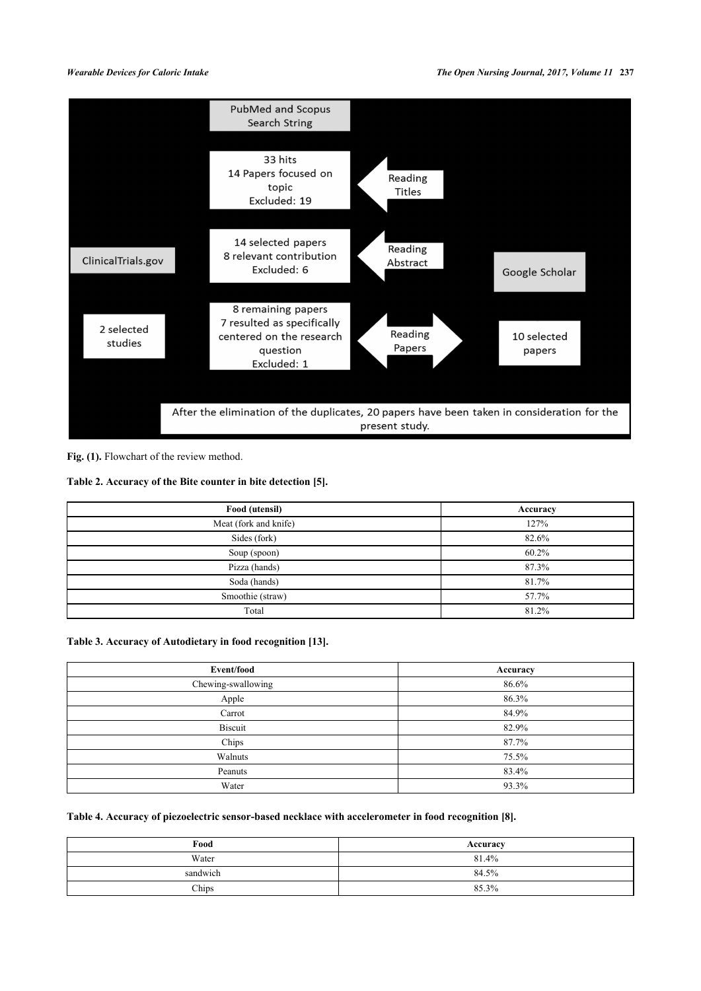

Fig. (1). Flowchart of the review method.

# <span id="page-5-0"></span>**Table 2. Accuracy of the Bite counter in bite detection [[5](#page-7-4)].**

| Food (utensil)        | Accuracy |
|-----------------------|----------|
| Meat (fork and knife) | 127%     |
| Sides (fork)          | 82.6%    |
| Soup (spoon)          | 60.2%    |
| Pizza (hands)         | 87.3%    |
| Soda (hands)          | 81.7%    |
| Smoothie (straw)      | 57.7%    |
| Total                 | 81.2%    |

# <span id="page-5-1"></span>**Table 3. Accuracy of Autodietary in food recognition [[13\]](#page-7-12).**

| Event/food         | Accuracy |
|--------------------|----------|
| Chewing-swallowing | 86.6%    |
| Apple              | 86.3%    |
| Carrot             | 84.9%    |
| <b>Biscuit</b>     | 82.9%    |
| Chips              | 87.7%    |
| Walnuts            | 75.5%    |
| Peanuts            | 83.4%    |
| Water              | 93.3%    |

# <span id="page-5-2"></span>**Table 4. Accuracy of piezoelectric sensor-based necklace with accelerometer in food recognition [[8](#page-7-7)].**

| Food     | Accuracy |
|----------|----------|
| Water    | 81.4%    |
| sandwich | 84.5%    |
| Chips    | 85.3%    |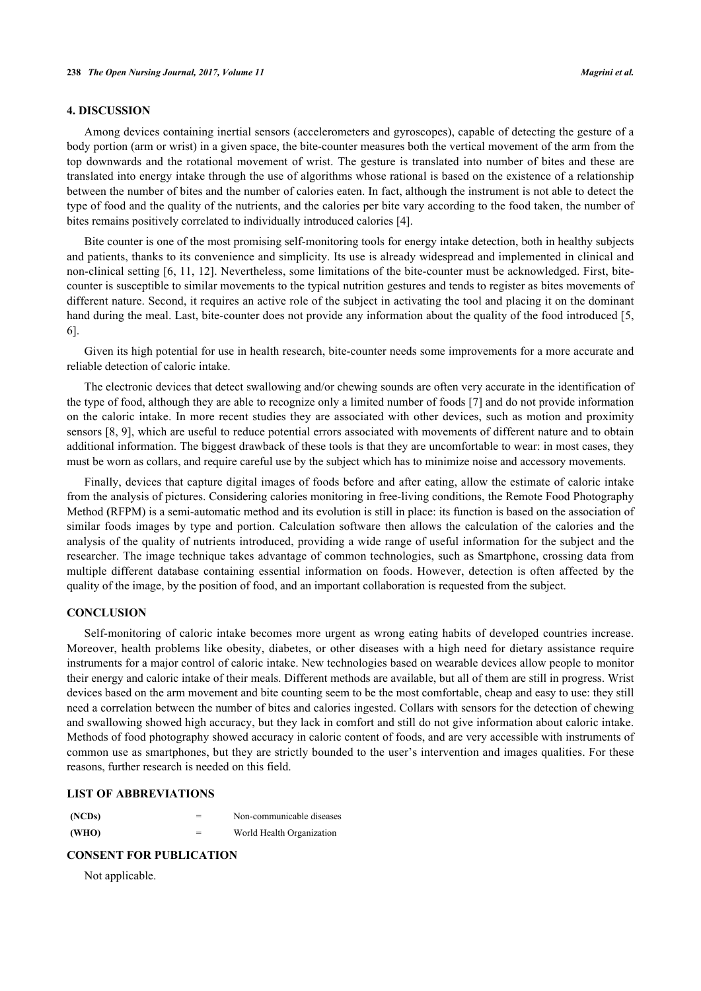### **4. DISCUSSION**

Among devices containing inertial sensors (accelerometers and gyroscopes), capable of detecting the gesture of a body portion (arm or wrist) in a given space, the bite-counter measures both the vertical movement of the arm from the top downwards and the rotational movement of wrist. The gesture is translated into number of bites and these are translated into energy intake through the use of algorithms whose rational is based on the existence of a relationship between the number of bites and the number of calories eaten. In fact, although the instrument is not able to detect the type of food and the quality of the nutrients, and the calories per bite vary according to the food taken, the number of bites remains positively correlated to individually introduced calories [[4\]](#page-7-3).

Bite counter is one of the most promising self-monitoring tools for energy intake detection, both in healthy subjects and patients, thanks to its convenience and simplicity. Its use is already widespread and implemented in clinical and non-clinical setting [\[6](#page-7-5), [11,](#page-7-10) [12\]](#page-7-11). Nevertheless, some limitations of the bite-counter must be acknowledged. First, bitecounter is susceptible to similar movements to the typical nutrition gestures and tends to register as bites movements of different nature. Second, it requires an active role of the subject in activating the tool and placing it on the dominant hand during the meal. Last, bite-counter does not provide any information about the quality of the food introduced [[5](#page-7-4), [6\]](#page-7-5).

Given its high potential for use in health research, bite-counter needs some improvements for a more accurate and reliable detection of caloric intake.

The electronic devices that detect swallowing and/or chewing sounds are often very accurate in the identification of the type of food, although they are able to recognize only a limited number of foods [[7\]](#page-7-6) and do not provide information on the caloric intake. In more recent studies they are associated with other devices, such as motion and proximity sensors [[8,](#page-7-7) [9](#page-7-8)], which are useful to reduce potential errors associated with movements of different nature and to obtain additional information. The biggest drawback of these tools is that they are uncomfortable to wear: in most cases, they must be worn as collars, and require careful use by the subject which has to minimize noise and accessory movements.

Finally, devices that capture digital images of foods before and after eating, allow the estimate of caloric intake from the analysis of pictures. Considering calories monitoring in free-living conditions, the Remote Food Photography Method **(**RFPM) is a semi-automatic method and its evolution is still in place: its function is based on the association of similar foods images by type and portion. Calculation software then allows the calculation of the calories and the analysis of the quality of nutrients introduced, providing a wide range of useful information for the subject and the researcher. The image technique takes advantage of common technologies, such as Smartphone, crossing data from multiple different database containing essential information on foods. However, detection is often affected by the quality of the image, by the position of food, and an important collaboration is requested from the subject.

# **CONCLUSION**

Self-monitoring of caloric intake becomes more urgent as wrong eating habits of developed countries increase. Moreover, health problems like obesity, diabetes, or other diseases with a high need for dietary assistance require instruments for a major control of caloric intake. New technologies based on wearable devices allow people to monitor their energy and caloric intake of their meals. Different methods are available, but all of them are still in progress. Wrist devices based on the arm movement and bite counting seem to be the most comfortable, cheap and easy to use: they still need a correlation between the number of bites and calories ingested. Collars with sensors for the detection of chewing and swallowing showed high accuracy, but they lack in comfort and still do not give information about caloric intake. Methods of food photography showed accuracy in caloric content of foods, and are very accessible with instruments of common use as smartphones, but they are strictly bounded to the user's intervention and images qualities. For these reasons, further research is needed on this field.

#### **LIST OF ABBREVIATIONS**

| (NCDs) | Non-communicable diseases |
|--------|---------------------------|
| (WHO)  | World Health Organization |

# **CONSENT FOR PUBLICATION**

Not applicable.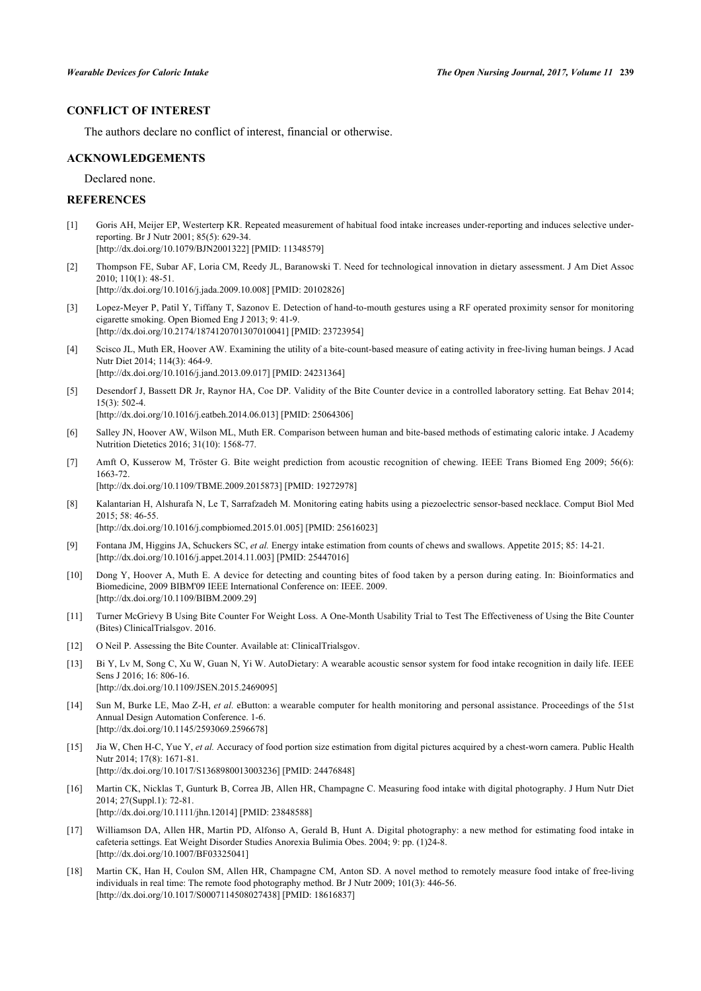# **CONFLICT OF INTEREST**

The authors declare no conflict of interest, financial or otherwise.

#### **ACKNOWLEDGEMENTS**

Declared none.

#### **REFERENCES**

- <span id="page-7-0"></span>[1] Goris AH, Meijer EP, Westerterp KR. Repeated measurement of habitual food intake increases under-reporting and induces selective underreporting. Br J Nutr 2001; 85(5): 629-34.
- [\[http://dx.doi.org/10.1079/BJN2001322](http://dx.doi.org/10.1079/BJN2001322)] [PMID: [11348579\]](http://www.ncbi.nlm.nih.gov/pubmed/11348579)
- <span id="page-7-1"></span>[2] Thompson FE, Subar AF, Loria CM, Reedy JL, Baranowski T. Need for technological innovation in dietary assessment. J Am Diet Assoc 2010; 110(1): 48-51. [\[http://dx.doi.org/10.1016/j.jada.2009.10.008](http://dx.doi.org/10.1016/j.jada.2009.10.008)] [PMID: [20102826\]](http://www.ncbi.nlm.nih.gov/pubmed/20102826)
- <span id="page-7-2"></span>[3] Lopez-Meyer P, Patil Y, Tiffany T, Sazonov E. Detection of hand-to-mouth gestures using a RF operated proximity sensor for monitoring cigarette smoking. Open Biomed Eng J 2013; 9: 41-9.
- [\[http://dx.doi.org/10.2174/1874120701307010041\]](http://dx.doi.org/10.2174/1874120701307010041) [PMID: [23723954](http://www.ncbi.nlm.nih.gov/pubmed/23723954)]
- <span id="page-7-3"></span>[4] Scisco JL, Muth ER, Hoover AW. Examining the utility of a bite-count-based measure of eating activity in free-living human beings. J Acad Nutr Diet 2014; 114(3): 464-9. [\[http://dx.doi.org/10.1016/j.jand.2013.09.017\]](http://dx.doi.org/10.1016/j.jand.2013.09.017) [PMID: [24231364](http://www.ncbi.nlm.nih.gov/pubmed/24231364)]
- <span id="page-7-4"></span>[5] Desendorf J, Bassett DR Jr, Raynor HA, Coe DP. Validity of the Bite Counter device in a controlled laboratory setting. Eat Behav 2014; 15(3): 502-4.

[\[http://dx.doi.org/10.1016/j.eatbeh.2014.06.013\]](http://dx.doi.org/10.1016/j.eatbeh.2014.06.013) [PMID: [25064306](http://www.ncbi.nlm.nih.gov/pubmed/25064306)]

- <span id="page-7-5"></span>[6] Salley JN, Hoover AW, Wilson ML, Muth ER. Comparison between human and bite-based methods of estimating caloric intake. J Academy Nutrition Dietetics 2016; 31(10): 1568-77.
- <span id="page-7-6"></span>[7] Amft O, Kusserow M, Tröster G. Bite weight prediction from acoustic recognition of chewing. IEEE Trans Biomed Eng 2009; 56(6): 1663-72. [\[http://dx.doi.org/10.1109/TBME.2009.2015873](http://dx.doi.org/10.1109/TBME.2009.2015873)] [PMID: [19272978\]](http://www.ncbi.nlm.nih.gov/pubmed/19272978)
- <span id="page-7-7"></span>[8] Kalantarian H, Alshurafa N, Le T, Sarrafzadeh M. Monitoring eating habits using a piezoelectric sensor-based necklace. Comput Biol Med  $2015: 58: 46-55$ [\[http://dx.doi.org/10.1016/j.compbiomed.2015.01.005\]](http://dx.doi.org/10.1016/j.compbiomed.2015.01.005) [PMID: [25616023](http://www.ncbi.nlm.nih.gov/pubmed/25616023)]
- <span id="page-7-8"></span>[9] Fontana JM, Higgins JA, Schuckers SC, *et al.* Energy intake estimation from counts of chews and swallows. Appetite 2015; 85: 14-21. [\[http://dx.doi.org/10.1016/j.appet.2014.11.003](http://dx.doi.org/10.1016/j.appet.2014.11.003)] [PMID: [25447016\]](http://www.ncbi.nlm.nih.gov/pubmed/25447016)
- <span id="page-7-9"></span>[10] Dong Y, Hoover A, Muth E. A device for detecting and counting bites of food taken by a person during eating. In: Bioinformatics and Biomedicine, 2009 BIBM'09 IEEE International Conference on: IEEE. 2009. [\[http://dx.doi.org/10.1109/BIBM.2009.29](http://dx.doi.org/10.1109/BIBM.2009.29)]
- <span id="page-7-10"></span>[11] Turner McGrievy B Using Bite Counter For Weight Loss. A One-Month Usability Trial to Test The Effectiveness of Using the Bite Counter (Bites) ClinicalTrialsgov. 2016.
- <span id="page-7-11"></span>[12] O Neil P. Assessing the Bite Counter. Available at: ClinicalTrialsgov.
- <span id="page-7-12"></span>[13] Bi Y, Lv M, Song C, Xu W, Guan N, Yi W. AutoDietary: A wearable acoustic sensor system for food intake recognition in daily life. IEEE Sens J 2016; 16: 806-16. [\[http://dx.doi.org/10.1109/JSEN.2015.2469095](http://dx.doi.org/10.1109/JSEN.2015.2469095)]
- <span id="page-7-13"></span>[14] Sun M, Burke LE, Mao Z-H, *et al.* eButton: a wearable computer for health monitoring and personal assistance. Proceedings of the 51st Annual Design Automation Conference. 1-6. [\[http://dx.doi.org/10.1145/2593069.2596678\]](http://dx.doi.org/10.1145/2593069.2596678)
- <span id="page-7-14"></span>[15] Jia W, Chen H-C, Yue Y, *et al.* Accuracy of food portion size estimation from digital pictures acquired by a chest-worn camera. Public Health Nutr 2014; 17(8): 1671-81. [\[http://dx.doi.org/10.1017/S1368980013003236](http://dx.doi.org/10.1017/S1368980013003236)] [PMID: [24476848\]](http://www.ncbi.nlm.nih.gov/pubmed/24476848)
- <span id="page-7-15"></span>[16] Martin CK, Nicklas T, Gunturk B, Correa JB, Allen HR, Champagne C. Measuring food intake with digital photography. J Hum Nutr Diet 2014; 27(Suppl.1): 72-81. [\[http://dx.doi.org/10.1111/jhn.12014](http://dx.doi.org/10.1111/jhn.12014)] [PMID: [23848588\]](http://www.ncbi.nlm.nih.gov/pubmed/23848588)
- <span id="page-7-16"></span>[17] Williamson DA, Allen HR, Martin PD, Alfonso A, Gerald B, Hunt A. Digital photography: a new method for estimating food intake in cafeteria settings. Eat Weight Disorder Studies Anorexia Bulimia Obes. 2004; 9: pp. (1)24-8. [\[http://dx.doi.org/10.1007/BF03325041\]](http://dx.doi.org/10.1007/BF03325041)
- <span id="page-7-17"></span>[18] Martin CK, Han H, Coulon SM, Allen HR, Champagne CM, Anton SD. A novel method to remotely measure food intake of free-living individuals in real time: The remote food photography method. Br J Nutr 2009; 101(3): 446-56. [\[http://dx.doi.org/10.1017/S0007114508027438](http://dx.doi.org/10.1017/S0007114508027438)] [PMID: [18616837\]](http://www.ncbi.nlm.nih.gov/pubmed/18616837)